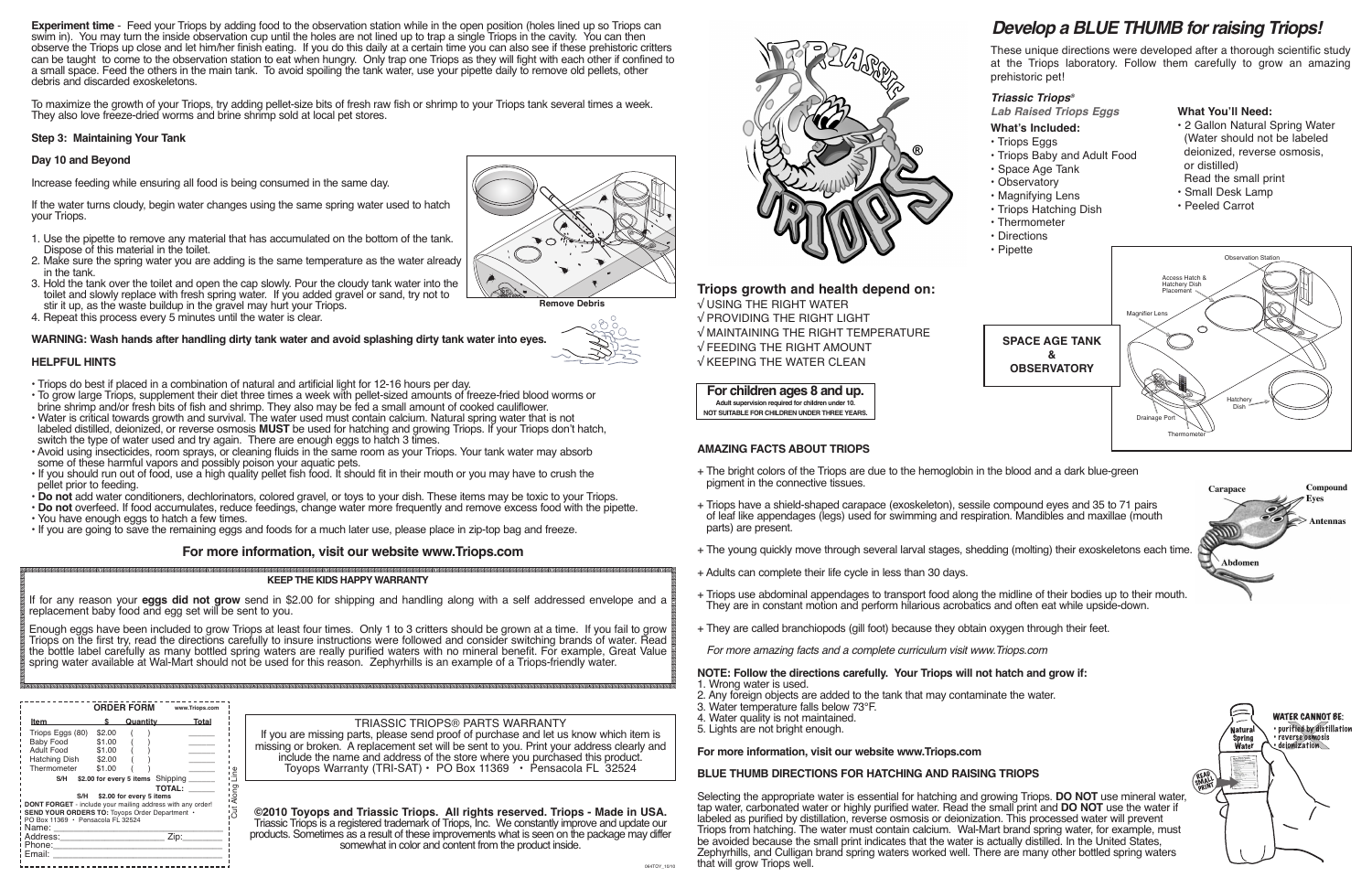**Experiment time** - Feed your Triops by adding food to the observation station while in the open position (holes lined up so Triops can swim in). You may turn the inside observation cup until the holes are not lined up to trap a single Triops in the cavity. You can then observe the Triops up close and let him/her finish eating. If you do this daily at a certain time you can also see if these prehistoric critters can be taught to come to the observation station to eat when hungry. Only trap one Triops as they will fight with each other if confined to a small space. Feed the others in the main tank. To avoid spoiling the tank water, use your pipette daily to remove old pellets, other debris and discarded exoskeletons.

To maximize the growth of your Triops, try adding pellet-size bits of fresh raw fish or shrimp to your Triops tank several times a week. They also love freeze-dried worms and brine shrimp sold at local pet stores.

- Triops do best if placed in a combination of natural and artificial light for 12-16 hours per day.
- To grow large Triops, supplement their diet three times a week with pellet-sized amounts of freeze-fried blood worms or brine shrimp and/or fresh bits of fish and shrimp. They also may be fed a small amount of cooked cauliflower.
- Water is critical towards growth and survival. The water used must contain calcium. Natural spring water that is not labeled distilled, deionized, or reverse osmosis **MUST** be used for hatching and growing Triops. If your Triops don't hatch, switch the type of water used and try again. There are enough eggs to hatch 3 times.
- Avoid using insecticides, room sprays, or cleaning fluids in the same room as your Triops. Your tank water may absorb some of these harmful vapors and possibly poison your aquatic pets.
- If you should run out of food, use a high quality pellet fish food. It should fit in their mouth or you may have to crush the pellet prior to feeding.
- **Do not** add water conditioners, dechlorinators, colored gravel, or toys to your dish. These items may be toxic to your Triops.
- **Do not** overfeed. If food accumulates, reduce feedings, change water more frequently and remove excess food with the pipette.
- If you are going to save the remaining eggs and foods for a much later use, please place in zip-top bag and freeze.

## **Step 3: Maintaining Your Tank**

## **Day 10 and Beyond**

Increase feeding while ensuring all food is being consumed in the same day.

If the water turns cloudy, begin water changes using the same spring water used to hatch your Triops.

- 1. Use the pipette to remove any material that has accumulated on the bottom of the tank. Dispose of this material in the toilet.
- 2. Make sure the spring water you are adding is the same temperature as the water already in the tank.
- 3. Hold the tank over the toilet and open the cap slowly. Pour the cloudy tank water into the toilet and slowly replace with fresh spring water. If you added gravel or sand, try not to stir it up, as the waste buildup in the gravel may hurt your Triops.
- 4. Repeat this process every 5 minutes until the water is clear.

## **WARNING: Wash hands after handling dirty tank water and avoid splashing dirty tank water into eyes.**

## **HELPFUL HINTS**

- + The bright colors of the Triops are due to the hemoglobin in the blood and a dark blue-green pigment in the connective tissues.
- + Triops have a shield-shaped carapace (exoskeleton), sessile compound eyes and 35 to 71 pairs of leaf like appendages (legs) used for swimming and respiration. Mandibles and maxillae (mouth parts) are present.
- + The young quickly move through several larval stages, shedding (molting) their exoskeletons each time.
- + Adults can complete their life cycle in less than 30 days.
- + Triops use abdominal appendages to transport food along the midline of their bodies up to their mouth. They are in constant motion and perform hilarious acrobatics and often eat while upside-down.
- + They are called branchiopods (gill foot) because they obtain oxygen through their feet.

## **For more information, visit our website www.Triops.com**

## *Triassic Triops®*

*Lab Raised Triops Eggs*

## **What's Included:**

- Triops Eggs
- Triops Baby and Adult Food
- Space Age Tank
- Observatory
- Magnifying Lens
- Triops Hatching Dish
- Thermometer
- Directions

## **What You'll Need:**

- 2 Gallon Natural Spring Water (Water should not be labeled deionized, reverse osmosis, or distilled) Read the small print
- Small Desk Lamp
- Peeled Carrot

## **For children ages 8 and up.**

**Adult supervision required for children under 10.**

## **NOT SUITABLE FOR CHILDREN UNDER THREE YEARS.**

## **Triops growth and health depend on:**

√ USING THE RIGHT WATER √ PROVIDING THE RIGHT LIGHT √ MAINTAINING THE RIGHT TEMPERATURE √ FEEDING THE RIGHT AMOUNT √ KEEPING THE WATER CLEAN

# *Develop a BLUE THUMB for raising Triops!*

These unique directions were developed after a thorough scientific study at the Triops laboratory. Follow them carefully to grow an amazing prehistoric pet!

## TRIASSIC TRIOPS® PARTS WARRANTY

If you are missing parts, please send proof of purchase and let us know which item is missing or broken. A replacement set will be sent to you. Print your address clearly and include the name and address of the store where you purchased this product. Toyops Warranty (TRI-SAT) • PO Box 11369 • Pensacola FL 32524





**©2010 Toyops and Triassic Triops. All rights reserved. Triops - Made in USA.** Triassic Triops is a registered trademark of Triops, Inc. We constantly improve and update our products. Sometimes as a result of these improvements what is seen on the package may differ somewhat in color and content from the product inside.



## **KEEP THE KIDS HAPPY WARRANTY**

If for any reason your **eggs did not grow** send in \$2.00 for shipping and handling along with a self addressed envelope and a replacement baby food and egg set will be sent to you.

Enough eggs have been included to grow Triops at least four times. Only 1 to 3 critters should be grown at a time. If you fail to grow Triops on the first try, read the directions carefully to insure instructions were followed and consider switching brands of water. Read the bottle label carefully as many bottled spring waters are really purified waters with no mineral benefit. For example, Great Value spring water available at Wal-Mart should not be used for this reason. Zephyrhills is an example of a Triops-friendly water.

**Remove Debris**

## **AMAZING FACTS ABOUT TRIOPS**

*For more amazing facts and a complete curriculum visit www.Triops.com*

#### **NOTE: Follow the directions carefully. Your Triops will not hatch and grow if:** 1. Wrong water is used.

- 2. Any foreign objects are added to the tank that may contaminate the water.
- 3. Water temperature falls below 73°F.
- 4. Water quality is not maintained.
- 5. Lights are not bright enough.

## **For more information, visit our website www.Triops.com**

# **BLUE THUMB DIRECTIONS FOR HATCHING AND RAISING TRIOPS**

Selecting the appropriate water is essential for hatching and growing Triops. **DO NOT** use mineral water, tap water, carbonated water or highly purified water. Read the small print and **DO NOT** use the water if labeled as purified by distillation, reverse osmosis or deionization. This processed water will prevent Triops from hatching. The water must contain calcium. Wal-Mart brand spring water, for example, must be avoided because the small print indicates that the water is actually distilled. In the United States, Zephyrhills, and Culligan brand spring waters worked well. There are many other bottled spring waters that will grow Triops well.



|                                                                                                                                                         |                                                | <b>ORDER FORM</b>                                             | www.Triops.com                    |
|---------------------------------------------------------------------------------------------------------------------------------------------------------|------------------------------------------------|---------------------------------------------------------------|-----------------------------------|
| Item                                                                                                                                                    | s.                                             | Quantity                                                      | <b>Total</b>                      |
| Triops Eggs (80)<br>Baby Food<br>Adult Food<br>Hatching Dish<br>Thermometer<br>S/H<br>S/H<br>DONT FORGET - include your mailing address with any order! | \$2.00<br>\$1.00<br>\$1.00<br>\$2.00<br>\$1.00 | \$2.00 for every 5 items Shipping<br>\$2.00 for every 5 items | <b>Cut Along</b><br><b>TOTAL:</b> |
| SEND YOUR ORDERS TO: Toyops Order Department .<br>$PO$ Box 11369 $\cdot$ Pensacola FL 32524<br>i Name:                                                  |                                                |                                                               |                                   |
| Address:_____________________<br>Phone:_________________<br>Email:                                                                                      |                                                |                                                               | Zip:                              |